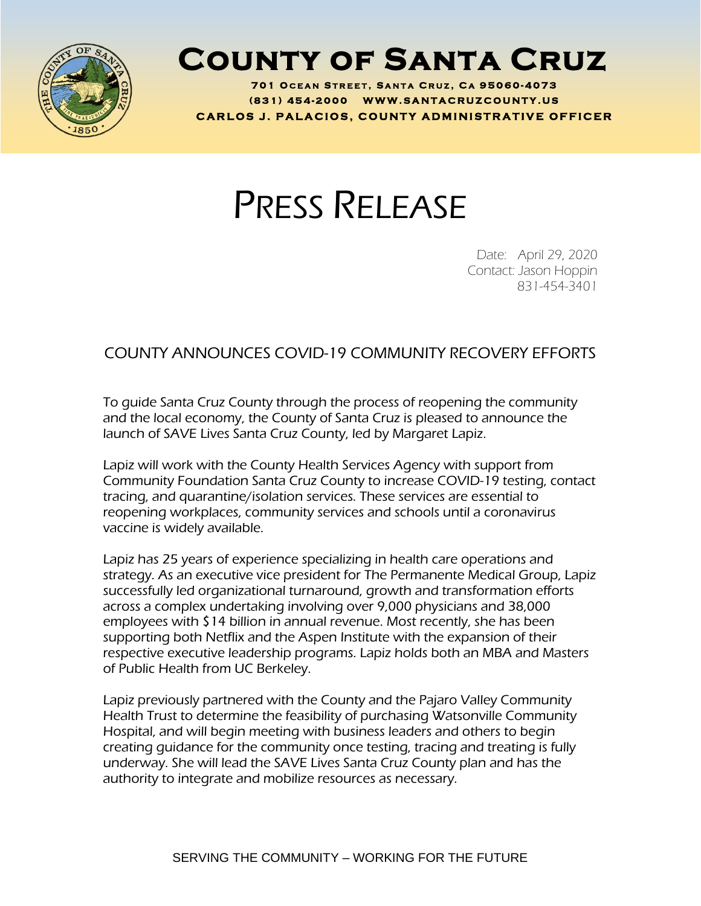

## **County of Santa Cruz**

**701 O C E A N S T R E E T , S A N T A C R U Z , C A 95060 - 4073 ( 8 3 1 ) <sup>454</sup> - <sup>2000</sup> W W W . S A N T A C R U Z C O U N T Y . U S C A R L O S J . P A L A C I O S , C O U N T Y A D M I N I S T R A T I V E O F F I C E R**

## PRESS RELEASE

Date: April 29, 2020 Contact: Jason Hoppin 831-454-3401

## COUNTY ANNOUNCES COVID-19 COMMUNITY RECOVERY EFFORTS

To guide Santa Cruz County through the process of reopening the community and the local economy, the County of Santa Cruz is pleased to announce the launch of SAVE Lives Santa Cruz County, led by Margaret Lapiz.

Lapiz will work with the County Health Services Agency with support from Community Foundation Santa Cruz County to increase COVID-19 testing, contact tracing, and quarantine/isolation services. These services are essential to reopening workplaces, community services and schools until a coronavirus vaccine is widely available.

Lapiz has 25 years of experience specializing in health care operations and strategy. As an executive vice president for The Permanente Medical Group, Lapiz successfully led organizational turnaround, growth and transformation efforts across a complex undertaking involving over 9,000 physicians and 38,000 employees with \$14 billion in annual revenue. Most recently, she has been supporting both Netflix and the Aspen Institute with the expansion of their respective executive leadership programs. Lapiz holds both an MBA and Masters of Public Health from UC Berkeley.

Lapiz previously partnered with the County and the Pajaro Valley Community Health Trust to determine the feasibility of purchasing Watsonville Community Hospital, and will begin meeting with business leaders and others to begin creating guidance for the community once testing, tracing and treating is fully underway. She will lead the SAVE Lives Santa Cruz County plan and has the authority to integrate and mobilize resources as necessary.